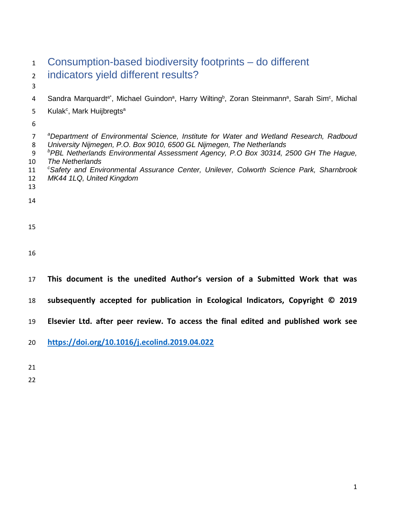| $\mathbf{1}$                                     | Consumption-based biodiversity footprints – do different                                                                                                                                                                                                                                                                                                                                                                              |
|--------------------------------------------------|---------------------------------------------------------------------------------------------------------------------------------------------------------------------------------------------------------------------------------------------------------------------------------------------------------------------------------------------------------------------------------------------------------------------------------------|
| $\overline{2}$                                   | indicators yield different results?                                                                                                                                                                                                                                                                                                                                                                                                   |
| 3                                                |                                                                                                                                                                                                                                                                                                                                                                                                                                       |
| 4                                                | Sandra Marquardt <sup>a*</sup> , Michael Guindon <sup>a</sup> , Harry Wilting <sup>b</sup> , Zoran Steinmann <sup>a</sup> , Sarah Sim <sup>c</sup> , Michal                                                                                                                                                                                                                                                                           |
| 5                                                | Kulak <sup>c</sup> , Mark Huijbregts <sup>a</sup>                                                                                                                                                                                                                                                                                                                                                                                     |
| 6                                                |                                                                                                                                                                                                                                                                                                                                                                                                                                       |
| $\overline{7}$<br>8<br>9<br>10<br>11<br>12<br>13 | <sup>a</sup> Department of Environmental Science, Institute for Water and Wetland Research, Radboud<br>University Nijmegen, P.O. Box 9010, 6500 GL Nijmegen, The Netherlands<br><sup>b</sup> PBL Netherlands Environmental Assessment Agency, P.O Box 30314, 2500 GH The Hague,<br>The Netherlands<br><sup>c</sup> Safety and Environmental Assurance Center, Unilever, Colworth Science Park, Sharnbrook<br>MK44 1LQ, United Kingdom |
| 14                                               |                                                                                                                                                                                                                                                                                                                                                                                                                                       |
| 15                                               |                                                                                                                                                                                                                                                                                                                                                                                                                                       |
| 16                                               |                                                                                                                                                                                                                                                                                                                                                                                                                                       |
| 17                                               | This document is the unedited Author's version of a Submitted Work that was                                                                                                                                                                                                                                                                                                                                                           |
| 18                                               | subsequently accepted for publication in Ecological Indicators, Copyright © 2019                                                                                                                                                                                                                                                                                                                                                      |
| 19                                               | Elsevier Ltd. after peer review. To access the final edited and published work see                                                                                                                                                                                                                                                                                                                                                    |
| 20                                               | https://doi.org/10.1016/j.ecolind.2019.04.022                                                                                                                                                                                                                                                                                                                                                                                         |

- 
-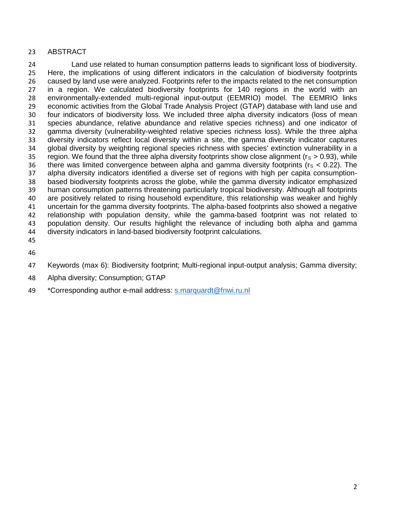# ABSTRACT

 Land use related to human consumption patterns leads to significant loss of biodiversity. Here, the implications of using different indicators in the calculation of biodiversity footprints caused by land use were analyzed. Footprints refer to the impacts related to the net consumption in a region. We calculated biodiversity footprints for 140 regions in the world with an environmentally-extended multi-regional input-output (EEMRIO) model. The EEMRIO links economic activities from the Global Trade Analysis Project (GTAP) database with land use and four indicators of biodiversity loss. We included three alpha diversity indicators (loss of mean species abundance, relative abundance and relative species richness) and one indicator of gamma diversity (vulnerability-weighted relative species richness loss). While the three alpha diversity indicators reflect local diversity within a site, the gamma diversity indicator captures global diversity by weighting regional species richness with species' extinction vulnerability in a 35 region. We found that the three alpha diversity footprints show close alignment ( $r_s > 0.93$ ), while 36 there was limited convergence between alpha and gamma diversity footprints ( $r_s < 0.22$ ). The alpha diversity indicators identified a diverse set of regions with high per capita consumption- based biodiversity footprints across the globe, while the gamma diversity indicator emphasized human consumption patterns threatening particularly tropical biodiversity. Although all footprints are positively related to rising household expenditure, this relationship was weaker and highly uncertain for the gamma diversity footprints. The alpha-based footprints also showed a negative relationship with population density, while the gamma-based footprint was not related to population density. Our results highlight the relevance of including both alpha and gamma diversity indicators in land-based biodiversity footprint calculations. 

- 
- Keywords (max 6): Biodiversity footprint; Multi-regional input-output analysis; Gamma diversity;
- Alpha diversity; Consumption; GTAP
- \*Corresponding author e-mail address: [s.marquardt@fnwi.ru.nl](mailto:s.marquardt@fnwi.ru.nl)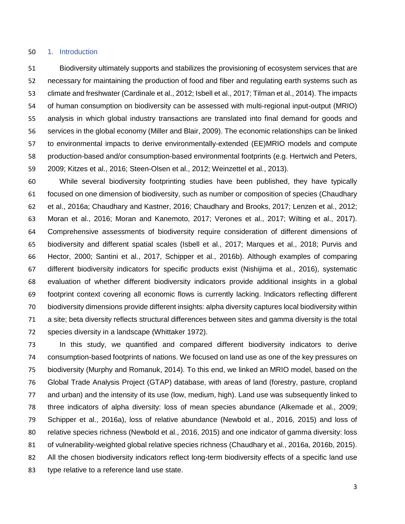#### 1. Introduction

 Biodiversity ultimately supports and stabilizes the provisioning of ecosystem services that are necessary for maintaining the production of food and fiber and regulating earth systems such as climate and freshwater (Cardinale et al., 2012; Isbell et al., 2017; Tilman et al., 2014). The impacts of human consumption on biodiversity can be assessed with multi-regional input-output (MRIO) analysis in which global industry transactions are translated into final demand for goods and services in the global economy (Miller and Blair, 2009). The economic relationships can be linked to environmental impacts to derive environmentally-extended (EE)MRIO models and compute production-based and/or consumption-based environmental footprints (e.g. Hertwich and Peters, 2009; Kitzes et al., 2016; Steen-Olsen et al., 2012; Weinzettel et al., 2013).

 While several biodiversity footprinting studies have been published, they have typically focused on one dimension of biodiversity, such as number or composition of species (Chaudhary et al., 2016a; Chaudhary and Kastner, 2016; Chaudhary and Brooks, 2017; Lenzen et al., 2012; Moran et al., 2016; Moran and Kanemoto, 2017; Verones et al., 2017; Wilting et al., 2017). Comprehensive assessments of biodiversity require consideration of different dimensions of biodiversity and different spatial scales (Isbell et al., 2017; Marques et al., 2018; Purvis and Hector, 2000; Santini et al., 2017, Schipper et al., 2016b). Although examples of comparing different biodiversity indicators for specific products exist (Nishijima et al., 2016), systematic evaluation of whether different biodiversity indicators provide additional insights in a global footprint context covering all economic flows is currently lacking. Indicators reflecting different biodiversity dimensions provide different insights: alpha diversity captures local biodiversity within a site; beta diversity reflects structural differences between sites and gamma diversity is the total species diversity in a landscape (Whittaker 1972).

 In this study, we quantified and compared different biodiversity indicators to derive consumption-based footprints of nations. We focused on land use as one of the key pressures on biodiversity (Murphy and Romanuk, 2014). To this end, we linked an MRIO model, based on the Global Trade Analysis Project (GTAP) database, with areas of land (forestry, pasture, cropland and urban) and the intensity of its use (low, medium, high). Land use was subsequently linked to three indicators of alpha diversity: loss of mean species abundance (Alkemade et al., 2009; Schipper et al., 2016a), loss of relative abundance (Newbold et al., 2016, 2015) and loss of relative species richness (Newbold et al., 2016, 2015) and one indicator of gamma diversity: loss of vulnerability-weighted global relative species richness (Chaudhary et al., 2016a, 2016b, 2015). All the chosen biodiversity indicators reflect long-term biodiversity effects of a specific land use type relative to a reference land use state.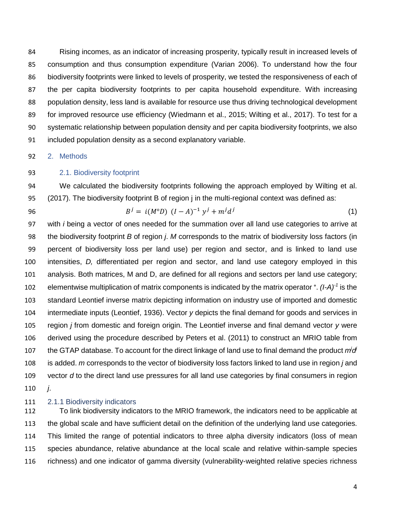Rising incomes, as an indicator of increasing prosperity, typically result in increased levels of consumption and thus consumption expenditure (Varian 2006). To understand how the four biodiversity footprints were linked to levels of prosperity, we tested the responsiveness of each of the per capita biodiversity footprints to per capita household expenditure. With increasing population density, less land is available for resource use thus driving technological development for improved resource use efficiency (Wiedmann et al., 2015; Wilting et al., 2017). To test for a systematic relationship between population density and per capita biodiversity footprints, we also included population density as a second explanatory variable.

2. Methods

## 2.1. Biodiversity footprint

 We calculated the biodiversity footprints following the approach employed by Wilting et al. (2017). The biodiversity footprint B of region j in the multi-regional context was defined as:

96 
$$
B^{j} = i(M^{\circ}D) (I - A)^{-1} y^{j} + m^{j} d^{j}
$$
 (1)

 with *i* being a vector of ones needed for the summation over all land use categories to arrive at the biodiversity footprint *B* of region *j*. *M* corresponds to the matrix of biodiversity loss factors (in percent of biodiversity loss per land use) per region and sector, and is linked to land use intensities, *D,* differentiated per region and sector, and land use category employed in this analysis. Both matrices, M and D, are defined for all regions and sectors per land use category; 102 elementwise multiplication of matrix components is indicated by the matrix operator °. *(I-A)<sup>-1</sup>* is the standard Leontief inverse matrix depicting information on industry use of imported and domestic intermediate inputs (Leontief, 1936). Vector *y* depicts the final demand for goods and services in region *j* from domestic and foreign origin. The Leontief inverse and final demand vector *y* were derived using the procedure described by Peters et al. (2011) to construct an MRIO table from 107 the GTAP database. To account for the direct linkage of land use to final demand the product *m*<sup>i</sup>d is added. *m* corresponds to the vector of biodiversity loss factors linked to land use in region *j* and vector *d* to the direct land use pressures for all land use categories by final consumers in region *j*.

#### 2.1.1 Biodiversity indicators

 To link biodiversity indicators to the MRIO framework, the indicators need to be applicable at the global scale and have sufficient detail on the definition of the underlying land use categories. This limited the range of potential indicators to three alpha diversity indicators (loss of mean species abundance, relative abundance at the local scale and relative within-sample species richness) and one indicator of gamma diversity (vulnerability-weighted relative species richness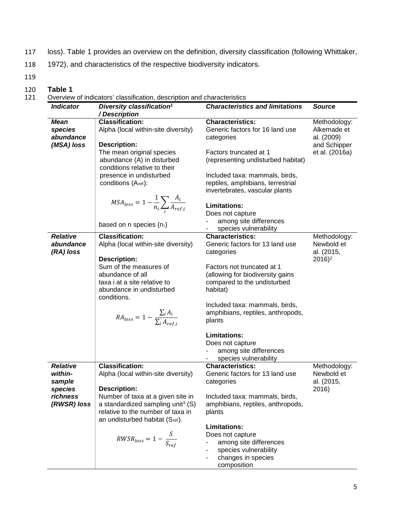- 117 loss). Table 1 provides an overview on the definition, diversity classification (following Whittaker,
- 118 1972), and characteristics of the respective biodiversity indicators.
- 119

120 **Table 1**<br>121 **Overview** Overview of indicators' classification, description and characteristics

| <b>Indicator</b>                            | Diversity classification <sup>1</sup><br>/Description                   | <b>Characteristics and limitations</b>                                                                | Source                                    |
|---------------------------------------------|-------------------------------------------------------------------------|-------------------------------------------------------------------------------------------------------|-------------------------------------------|
| <b>Mean</b><br>species<br>abundance         | <b>Classification:</b><br>Alpha (local within-site diversity)           | <b>Characteristics:</b><br>Generic factors for 16 land use<br>categories                              | Methodology:<br>Alkemade et<br>al. (2009) |
| (MSA) loss                                  | <b>Description:</b><br>The mean original species                        | Factors truncated at 1                                                                                | and Schipper<br>et al. (2016a)            |
|                                             | abundance (A) in disturbed<br>conditions relative to their              | (representing undisturbed habitat)                                                                    |                                           |
|                                             | presence in undisturbed<br>conditions (A <sub>ref</sub> ):              | Included taxa: mammals, birds,<br>reptiles, amphibians, terrestrial<br>invertebrates, vascular plants |                                           |
|                                             | $MSA_{loss} = 1 - \frac{1}{n_i} \sum_i \frac{A_i}{A_{ref,i}}$           | <b>Limitations:</b><br>Does not capture                                                               |                                           |
|                                             | based on n species $(n_i)$                                              | among site differences<br>species vulnerability                                                       |                                           |
| <b>Relative</b><br>abundance<br>$(RA)$ loss | <b>Classification:</b><br>Alpha (local within-site diversity)           | <b>Characteristics:</b><br>Generic factors for 13 land use<br>categories                              | Methodology:<br>Newbold et<br>al. (2015,  |
|                                             | <b>Description:</b><br>Sum of the measures of<br>abundance of all       | Factors not truncated at 1                                                                            | $2016$ <sup>2</sup>                       |
|                                             | taxa i at a site relative to<br>abundance in undisturbed<br>conditions. | (allowing for biodiversity gains<br>compared to the undisturbed<br>habitat)                           |                                           |
|                                             | $RA_{loss} = 1 - \frac{\sum_i A_i}{\sum_i A_{ref}}$                     | Included taxa: mammals, birds,<br>amphibians, reptiles, anthropods,<br>plants                         |                                           |
|                                             |                                                                         | <b>Limitations:</b><br>Does not capture<br>among site differences<br>species vulnerability            |                                           |
| <b>Relative</b>                             | <b>Classification:</b>                                                  | <b>Characteristics:</b>                                                                               | Methodology:                              |
| within-                                     | Alpha (local within-site diversity)                                     | Generic factors for 13 land use                                                                       | Newbold et                                |
| sample                                      |                                                                         | categories                                                                                            | al. (2015,                                |
| species<br>richness                         | <b>Description:</b><br>Number of taxa at a given site in                | Included taxa: mammals, birds,                                                                        | 2016)                                     |
| (RWSR) loss                                 | a standardized sampling unit <sup>3</sup> $(S)$                         | amphibians, reptiles, anthropods,                                                                     |                                           |
|                                             | relative to the number of taxa in<br>an undisturbed habitat (Sref).     | plants                                                                                                |                                           |
|                                             |                                                                         | <b>Limitations:</b>                                                                                   |                                           |
|                                             | $RWSR_{loss} = 1 - \frac{S}{S_{ref}}$                                   | Does not capture                                                                                      |                                           |
|                                             |                                                                         | among site differences<br>species vulnerability                                                       |                                           |
|                                             |                                                                         | changes in species                                                                                    |                                           |
|                                             |                                                                         | composition                                                                                           |                                           |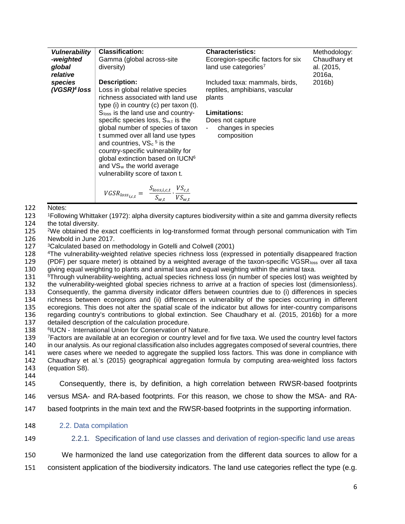| <b>Vulnerability</b> | <b>Classification:</b>                                                                                                                                                                                                                                                               | <b>Characteristics:</b>                  | Methodology:         |
|----------------------|--------------------------------------------------------------------------------------------------------------------------------------------------------------------------------------------------------------------------------------------------------------------------------------|------------------------------------------|----------------------|
| -weighted            | Gamma (global across-site                                                                                                                                                                                                                                                            | Ecoregion-specific factors for six       | Chaudhary et         |
| global<br>relative   | diversity)                                                                                                                                                                                                                                                                           | land use categories <sup>7</sup>         | al. (2015,<br>2016a. |
| species              | <b>Description:</b>                                                                                                                                                                                                                                                                  | Included taxa: mammals, birds,           | 2016b)               |
| $(VGSR)^4$ loss      | Loss in global relative species<br>richness associated with land use<br>type (i) in country (c) per taxon (t).                                                                                                                                                                       | reptiles, amphibians, vascular<br>plants |                      |
|                      | Sloss is the land use and country-                                                                                                                                                                                                                                                   | <b>Limitations:</b>                      |                      |
|                      | specific species loss, $S_{w,t}$ is the                                                                                                                                                                                                                                              | Does not capture                         |                      |
|                      | global number of species of taxon<br>t summed over all land use types<br>and countries, $VS_c$ <sup>5</sup> is the<br>country-specific vulnerability for<br>global extinction based on IUCN <sup>6</sup><br>and VS <sub>w</sub> the world average<br>vulnerability score of taxon t. | changes in species<br>composition        |                      |
|                      | $VGSR_{loss_{i,c,t}} = \frac{S_{loss,i,c,t}}{S_{w,t}} \cdot \frac{V S_{c,t}}{V S_{w,t}}$                                                                                                                                                                                             |                                          |                      |

- 122 Notes:
- 123 <sup>1</sup>Following Whittaker (1972): alpha diversity captures biodiversity within a site and gamma diversity reflects 124 the total diversity.
- 124 the total diversity.<br>125  $2\%$  eventual the
- <sup>2</sup>We obtained the exact coefficients in log-transformed format through personal communication with Tim 126 Newbold in June 2017.
- 127 3Calculated based on methodology in Gotelli and Colwell (2001)
- 128 4The vulnerability-weighted relative species richness loss (expressed in potentially disappeared fraction
- 129 (PDF) per square meter) is obtained by a weighted average of the taxon-specific VGSR $_{loss}$  over all taxa 130 giving equal weighting to plants and animal taxa and equal weighting within the animal taxa. giving equal weighting to plants and animal taxa and equal weighting within the animal taxa.
- 131 5Through vulnerability-weighting, actual species richness loss (in number of species lost) was weighted by
- 
- 132 the vulnerability-weighted global species richness to arrive at a fraction of species lost (dimensionless).<br>133 Consequently, the gamma diversity indicator differs between countries due to (i) differences in species 133 Consequently, the gamma diversity indicator differs between countries due to (i) differences in species<br>134 richness between ecoregions and (ii) differences in vulnerability of the species occurring in different
- richness between ecoregions and (ii) differences in vulnerability of the species occurring in different
- 135 ecoregions. This does not alter the spatial scale of the indicator but allows for inter-country comparisons 136 regarding country's contributions to global extinction. See Chaudhary et al. (2015, 2016b) for a more
- 137 detailed description of the calculation procedure.
- 138 <sup>6</sup> fUCN International Union for Conservation of Nature.<br>139 <sup>7</sup> Factors are available at an ecoregion or country level a
- 139 <sup>7</sup>Factors are available at an ecoregion or country level and for five taxa. We used the country level factors<br>140 in our analysis. As our regional classification also includes aggregates composed of several countries,
- in our analysis. As our regional classification also includes aggregates composed of several countries, there
- 141 were cases where we needed to aggregate the supplied loss factors. This was done in compliance with 142 Chaudhary et al.'s (2015) geographical aggregation formula by computing area-weighted loss factors
- 142 Chaudhary et al.'s (2015) geographical aggregation formula by computing area-weighted loss factors 143 (equation S8). 144
- 145 Consequently, there is, by definition, a high correlation between RWSR-based footprints
- 146 versus MSA- and RA-based footprints. For this reason, we chose to show the MSA- and RA-
- 147 based footprints in the main text and the RWSR-based footprints in the supporting information.
- 148 2.2. Data compilation
- 149 2.2.1. Specification of land use classes and derivation of region-specific land use areas
- 150 We harmonized the land use categorization from the different data sources to allow for a
- 151 consistent application of the biodiversity indicators. The land use categories reflect the type (e.g.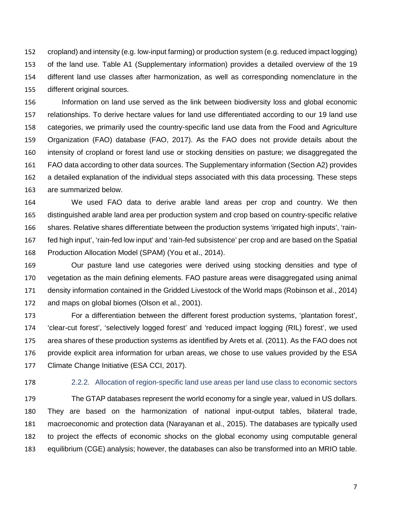cropland) and intensity (e.g. low-input farming) or production system (e.g. reduced impact logging) of the land use. Table A1 (Supplementary information) provides a detailed overview of the 19 different land use classes after harmonization, as well as corresponding nomenclature in the different original sources.

 Information on land use served as the link between biodiversity loss and global economic relationships. To derive hectare values for land use differentiated according to our 19 land use categories, we primarily used the country-specific land use data from the Food and Agriculture Organization (FAO) database (FAO, 2017). As the FAO does not provide details about the intensity of cropland or forest land use or stocking densities on pasture; we disaggregated the FAO data according to other data sources. The Supplementary information (Section A2) provides a detailed explanation of the individual steps associated with this data processing. These steps are summarized below.

 We used FAO data to derive arable land areas per crop and country. We then distinguished arable land area per production system and crop based on country-specific relative shares. Relative shares differentiate between the production systems 'irrigated high inputs', 'rain- fed high input', 'rain-fed low input' and 'rain-fed subsistence' per crop and are based on the Spatial Production Allocation Model (SPAM) (You et al., 2014).

 Our pasture land use categories were derived using stocking densities and type of vegetation as the main defining elements. FAO pasture areas were disaggregated using animal density information contained in the Gridded Livestock of the World maps (Robinson et al., 2014) and maps on global biomes (Olson et al., 2001).

 For a differentiation between the different forest production systems, 'plantation forest', 'clear-cut forest', 'selectively logged forest' and 'reduced impact logging (RIL) forest', we used area shares of these production systems as identified by Arets et al. (2011). As the FAO does not provide explicit area information for urban areas, we chose to use values provided by the ESA Climate Change Initiative (ESA CCI, 2017).

# 2.2.2. Allocation of region-specific land use areas per land use class to economic sectors

 The GTAP databases represent the world economy for a single year, valued in US dollars. They are based on the harmonization of national input-output tables, bilateral trade, macroeconomic and protection data (Narayanan et al., 2015). The databases are typically used to project the effects of economic shocks on the global economy using computable general equilibrium (CGE) analysis; however, the databases can also be transformed into an MRIO table.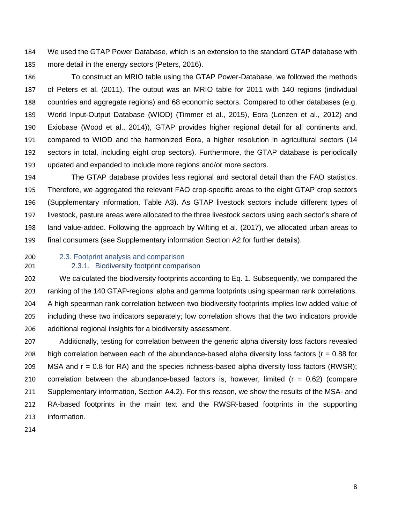We used the GTAP Power Database, which is an extension to the standard GTAP database with more detail in the energy sectors (Peters, 2016).

 To construct an MRIO table using the GTAP Power-Database, we followed the methods of Peters et al. (2011). The output was an MRIO table for 2011 with 140 regions (individual countries and aggregate regions) and 68 economic sectors. Compared to other databases (e.g. World Input-Output Database (WIOD) (Timmer et al., 2015), Eora (Lenzen et al., 2012) and Exiobase (Wood et al., 2014)), GTAP provides higher regional detail for all continents and, compared to WIOD and the harmonized Eora, a higher resolution in agricultural sectors (14 sectors in total, including eight crop sectors). Furthermore, the GTAP database is periodically updated and expanded to include more regions and/or more sectors.

 The GTAP database provides less regional and sectoral detail than the FAO statistics. Therefore, we aggregated the relevant FAO crop-specific areas to the eight GTAP crop sectors (Supplementary information, Table A3). As GTAP livestock sectors include different types of livestock, pasture areas were allocated to the three livestock sectors using each sector's share of land value-added. Following the approach by Wilting et al. (2017), we allocated urban areas to final consumers (see Supplementary information Section A2 for further details).

2.3. Footprint analysis and comparison

## 2.3.1. Biodiversity footprint comparison

 We calculated the biodiversity footprints according to Eq. 1. Subsequently, we compared the ranking of the 140 GTAP-regions' alpha and gamma footprints using spearman rank correlations. A high spearman rank correlation between two biodiversity footprints implies low added value of including these two indicators separately; low correlation shows that the two indicators provide additional regional insights for a biodiversity assessment.

 Additionally, testing for correlation between the generic alpha diversity loss factors revealed 208 high correlation between each of the abundance-based alpha diversity loss factors ( $r = 0.88$  for 209 MSA and  $r = 0.8$  for RA) and the species richness-based alpha diversity loss factors (RWSR); 210 correlation between the abundance-based factors is, however, limited  $(r = 0.62)$  (compare Supplementary information, Section A4.2). For this reason, we show the results of the MSA- and RA-based footprints in the main text and the RWSR-based footprints in the supporting information.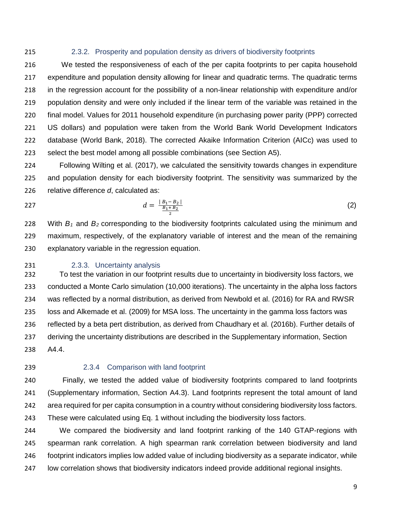### 2.3.2. Prosperity and population density as drivers of biodiversity footprints

 We tested the responsiveness of each of the per capita footprints to per capita household expenditure and population density allowing for linear and quadratic terms. The quadratic terms in the regression account for the possibility of a non-linear relationship with expenditure and/or population density and were only included if the linear term of the variable was retained in the final model. Values for 2011 household expenditure (in purchasing power parity (PPP) corrected US dollars) and population were taken from the World Bank World Development Indicators database (World Bank, 2018). The corrected Akaike Information Criterion (AICc) was used to select the best model among all possible combinations (see Section A5).

 Following Wilting et al. (2017), we calculated the sensitivity towards changes in expenditure and population density for each biodiversity footprint. The sensitivity was summarized by the relative difference *d*, calculated as:

$$
d = \frac{|B_1 - B_2|}{\frac{B_1 + B_2}{2}} \tag{2}
$$

 With *B1* and *B2* corresponding to the biodiversity footprints calculated using the minimum and maximum, respectively, of the explanatory variable of interest and the mean of the remaining explanatory variable in the regression equation.

## 2.3.3. Uncertainty analysis

 To test the variation in our footprint results due to uncertainty in biodiversity loss factors, we conducted a Monte Carlo simulation (10,000 iterations). The uncertainty in the alpha loss factors was reflected by a normal distribution, as derived from Newbold et al. (2016) for RA and RWSR loss and Alkemade et al. (2009) for MSA loss. The uncertainty in the gamma loss factors was reflected by a beta pert distribution, as derived from Chaudhary et al. (2016b). Further details of deriving the uncertainty distributions are described in the Supplementary information, Section A4.4.

# 2.3.4 Comparison with land footprint

 Finally, we tested the added value of biodiversity footprints compared to land footprints (Supplementary information, Section A4.3). Land footprints represent the total amount of land area required for per capita consumption in a country without considering biodiversity loss factors. These were calculated using Eq. 1 without including the biodiversity loss factors.

 We compared the biodiversity and land footprint ranking of the 140 GTAP-regions with spearman rank correlation. A high spearman rank correlation between biodiversity and land footprint indicators implies low added value of including biodiversity as a separate indicator, while low correlation shows that biodiversity indicators indeed provide additional regional insights.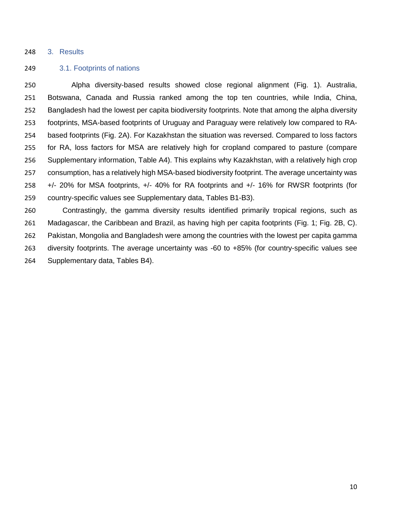#### 3. Results

### 3.1. Footprints of nations

 Alpha diversity-based results showed close regional alignment (Fig. 1). Australia, Botswana, Canada and Russia ranked among the top ten countries, while India, China, Bangladesh had the lowest per capita biodiversity footprints. Note that among the alpha diversity footprints, MSA-based footprints of Uruguay and Paraguay were relatively low compared to RA- based footprints (Fig. 2A). For Kazakhstan the situation was reversed. Compared to loss factors for RA, loss factors for MSA are relatively high for cropland compared to pasture (compare Supplementary information, Table A4). This explains why Kazakhstan, with a relatively high crop consumption, has a relatively high MSA-based biodiversity footprint. The average uncertainty was +/- 20% for MSA footprints, +/- 40% for RA footprints and +/- 16% for RWSR footprints (for country-specific values see Supplementary data, Tables B1-B3).

 Contrastingly, the gamma diversity results identified primarily tropical regions, such as Madagascar, the Caribbean and Brazil, as having high per capita footprints (Fig. 1; Fig. 2B, C). Pakistan, Mongolia and Bangladesh were among the countries with the lowest per capita gamma diversity footprints. The average uncertainty was -60 to +85% (for country-specific values see Supplementary data, Tables B4).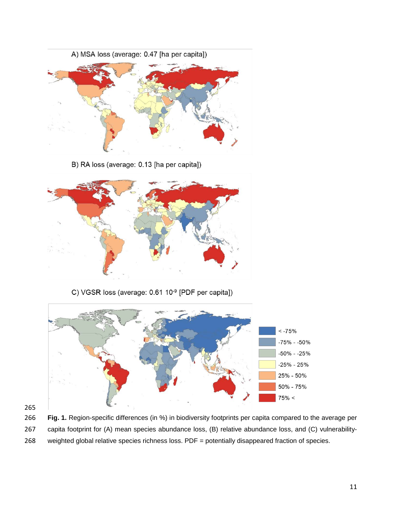

B) RA loss (average: 0.13 [ha per capita])



C) VGSR loss (average: 0.61 10<sup>-9</sup> [PDF per capita])



 **Fig. 1.** Region-specific differences (in %) in biodiversity footprints per capita compared to the average per capita footprint for (A) mean species abundance loss, (B) relative abundance loss, and (C) vulnerability-weighted global relative species richness loss. PDF = potentially disappeared fraction of species.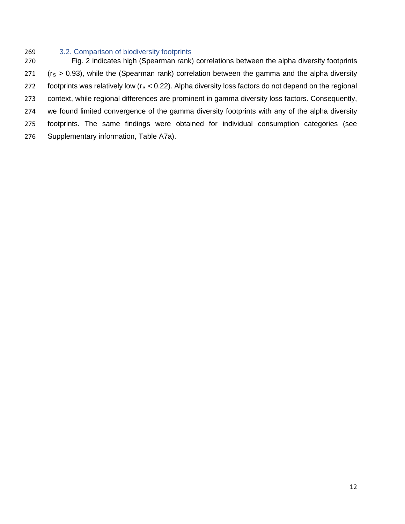# 3.2. Comparison of biodiversity footprints

 Fig. 2 indicates high (Spearman rank) correlations between the alpha diversity footprints ( $r_s > 0.93$ ), while the (Spearman rank) correlation between the gamma and the alpha diversity 272 footprints was relatively low ( $r_s < 0.22$ ). Alpha diversity loss factors do not depend on the regional context, while regional differences are prominent in gamma diversity loss factors. Consequently, we found limited convergence of the gamma diversity footprints with any of the alpha diversity footprints. The same findings were obtained for individual consumption categories (see Supplementary information, Table A7a).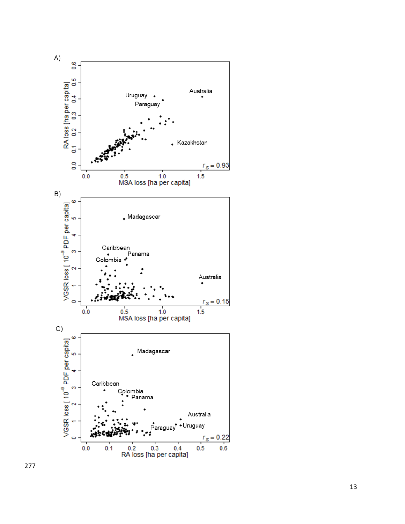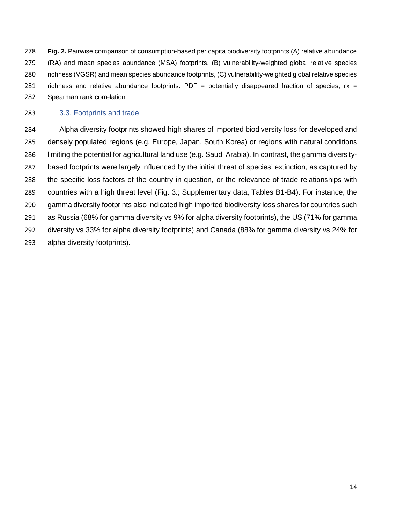**Fig. 2.** Pairwise comparison of consumption-based per capita biodiversity footprints (A) relative abundance (RA) and mean species abundance (MSA) footprints, (B) vulnerability-weighted global relative species richness (VGSR) and mean species abundance footprints, (C) vulnerability-weighted global relative species 281 richness and relative abundance footprints. PDF = potentially disappeared fraction of species,  $r_S$  = Spearman rank correlation.

# 3.3. Footprints and trade

 Alpha diversity footprints showed high shares of imported biodiversity loss for developed and densely populated regions (e.g. Europe, Japan, South Korea) or regions with natural conditions limiting the potential for agricultural land use (e.g. Saudi Arabia). In contrast, the gamma diversity- based footprints were largely influenced by the initial threat of species' extinction, as captured by the specific loss factors of the country in question, or the relevance of trade relationships with countries with a high threat level (Fig. 3.; Supplementary data, Tables B1-B4). For instance, the gamma diversity footprints also indicated high imported biodiversity loss shares for countries such as Russia (68% for gamma diversity vs 9% for alpha diversity footprints), the US (71% for gamma diversity vs 33% for alpha diversity footprints) and Canada (88% for gamma diversity vs 24% for alpha diversity footprints).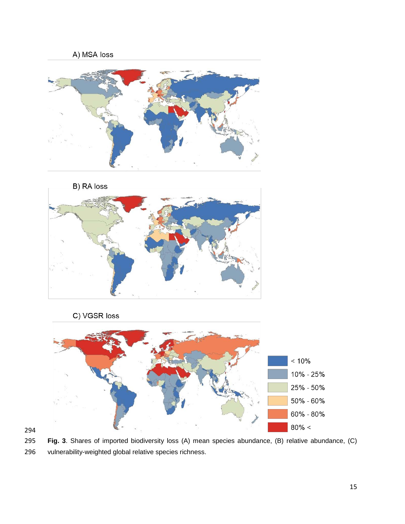





 **Fig. 3**. Shares of imported biodiversity loss (A) mean species abundance, (B) relative abundance, (C) vulnerability-weighted global relative species richness.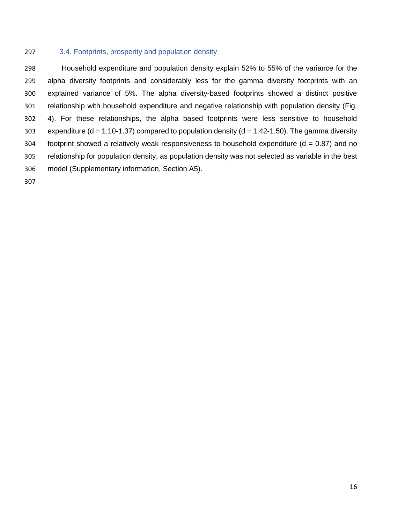## 3.4. Footprints, prosperity and population density

 Household expenditure and population density explain 52% to 55% of the variance for the alpha diversity footprints and considerably less for the gamma diversity footprints with an explained variance of 5%. The alpha diversity-based footprints showed a distinct positive relationship with household expenditure and negative relationship with population density (Fig. 4). For these relationships, the alpha based footprints were less sensitive to household 303 expenditure (d = 1.10-1.37) compared to population density (d = 1.42-1.50). The gamma diversity 304 footprint showed a relatively weak responsiveness to household expenditure ( $d = 0.87$ ) and no relationship for population density, as population density was not selected as variable in the best model (Supplementary information, Section A5).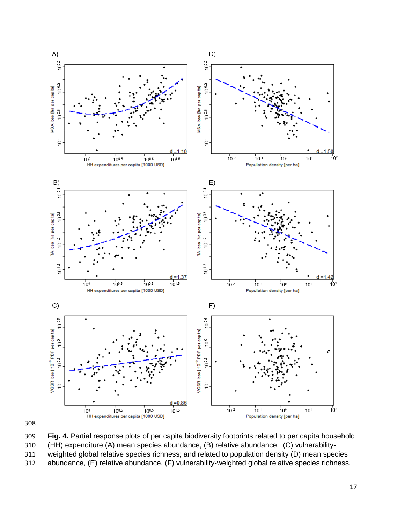

 **Fig. 4.** Partial response plots of per capita biodiversity footprints related to per capita household (HH) expenditure (A) mean species abundance, (B) relative abundance, (C) vulnerability-weighted global relative species richness; and related to population density (D) mean species

abundance, (E) relative abundance, (F) vulnerability-weighted global relative species richness.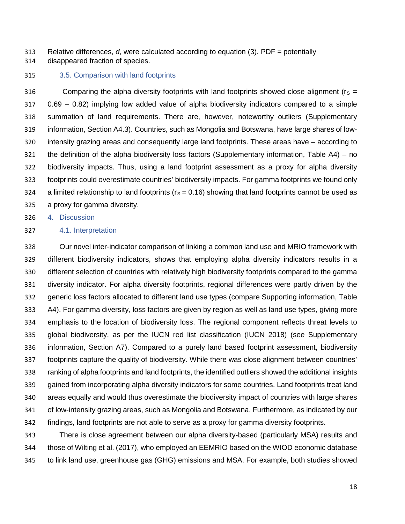Relative differences, *d*, were calculated according to equation (3). PDF = potentially

disappeared fraction of species.

## 3.5. Comparison with land footprints

316 Comparing the alpha diversity footprints with land footprints showed close alignment ( $r_s =$  0.69 – 0.82) implying low added value of alpha biodiversity indicators compared to a simple summation of land requirements. There are, however, noteworthy outliers (Supplementary information, Section A4.3). Countries, such as Mongolia and Botswana, have large shares of low- intensity grazing areas and consequently large land footprints. These areas have – according to the definition of the alpha biodiversity loss factors (Supplementary information, Table A4) – no biodiversity impacts. Thus, using a land footprint assessment as a proxy for alpha diversity footprints could overestimate countries' biodiversity impacts. For gamma footprints we found only 324 a limited relationship to land footprints ( $r_s = 0.16$ ) showing that land footprints cannot be used as a proxy for gamma diversity.

4. Discussion

## 4.1. Interpretation

 Our novel inter-indicator comparison of linking a common land use and MRIO framework with different biodiversity indicators, shows that employing alpha diversity indicators results in a different selection of countries with relatively high biodiversity footprints compared to the gamma diversity indicator. For alpha diversity footprints, regional differences were partly driven by the generic loss factors allocated to different land use types (compare Supporting information, Table A4). For gamma diversity, loss factors are given by region as well as land use types, giving more emphasis to the location of biodiversity loss. The regional component reflects threat levels to global biodiversity, as per the IUCN red list classification (IUCN 2018) (see Supplementary information, Section A7). Compared to a purely land based footprint assessment, biodiversity footprints capture the quality of biodiversity. While there was close alignment between countries' ranking of alpha footprints and land footprints, the identified outliers showed the additional insights gained from incorporating alpha diversity indicators for some countries. Land footprints treat land areas equally and would thus overestimate the biodiversity impact of countries with large shares of low-intensity grazing areas, such as Mongolia and Botswana. Furthermore, as indicated by our findings, land footprints are not able to serve as a proxy for gamma diversity footprints.

 There is close agreement between our alpha diversity-based (particularly MSA) results and those of Wilting et al. (2017), who employed an EEMRIO based on the WIOD economic database to link land use, greenhouse gas (GHG) emissions and MSA. For example, both studies showed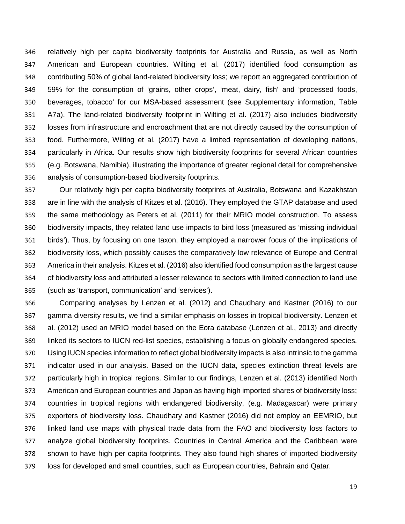relatively high per capita biodiversity footprints for Australia and Russia, as well as North American and European countries. Wilting et al. (2017) identified food consumption as contributing 50% of global land-related biodiversity loss; we report an aggregated contribution of 59% for the consumption of 'grains, other crops', 'meat, dairy, fish' and 'processed foods, beverages, tobacco' for our MSA-based assessment (see Supplementary information, Table A7a). The land-related biodiversity footprint in Wilting et al. (2017) also includes biodiversity losses from infrastructure and encroachment that are not directly caused by the consumption of food. Furthermore, Wilting et al. (2017) have a limited representation of developing nations, particularly in Africa. Our results show high biodiversity footprints for several African countries (e.g. Botswana, Namibia), illustrating the importance of greater regional detail for comprehensive analysis of consumption-based biodiversity footprints.

 Our relatively high per capita biodiversity footprints of Australia, Botswana and Kazakhstan are in line with the analysis of Kitzes et al. (2016). They employed the GTAP database and used the same methodology as Peters et al. (2011) for their MRIO model construction. To assess biodiversity impacts, they related land use impacts to bird loss (measured as 'missing individual birds'). Thus, by focusing on one taxon, they employed a narrower focus of the implications of biodiversity loss, which possibly causes the comparatively low relevance of Europe and Central America in their analysis. Kitzes et al. (2016) also identified food consumption as the largest cause of biodiversity loss and attributed a lesser relevance to sectors with limited connection to land use (such as 'transport, communication' and 'services').

 Comparing analyses by Lenzen et al. (2012) and Chaudhary and Kastner (2016) to our gamma diversity results, we find a similar emphasis on losses in tropical biodiversity. Lenzen et al. (2012) used an MRIO model based on the Eora database (Lenzen et al., 2013) and directly linked its sectors to IUCN red-list species, establishing a focus on globally endangered species. Using IUCN species information to reflect global biodiversity impacts is also intrinsic to the gamma indicator used in our analysis. Based on the IUCN data, species extinction threat levels are particularly high in tropical regions. Similar to our findings, Lenzen et al. (2013) identified North American and European countries and Japan as having high imported shares of biodiversity loss; countries in tropical regions with endangered biodiversity, (e.g. Madagascar) were primary exporters of biodiversity loss. Chaudhary and Kastner (2016) did not employ an EEMRIO, but linked land use maps with physical trade data from the FAO and biodiversity loss factors to analyze global biodiversity footprints. Countries in Central America and the Caribbean were shown to have high per capita footprints. They also found high shares of imported biodiversity loss for developed and small countries, such as European countries, Bahrain and Qatar.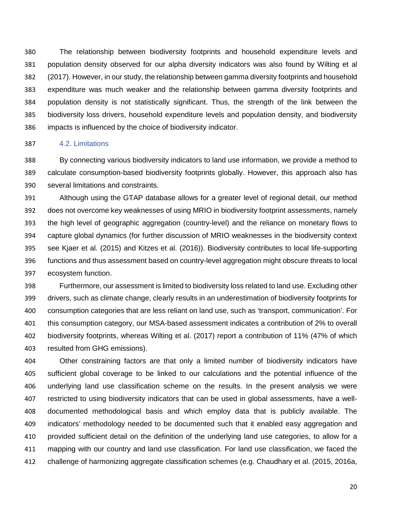The relationship between biodiversity footprints and household expenditure levels and population density observed for our alpha diversity indicators was also found by Wilting et al (2017). However, in our study, the relationship between gamma diversity footprints and household expenditure was much weaker and the relationship between gamma diversity footprints and population density is not statistically significant. Thus, the strength of the link between the biodiversity loss drivers, household expenditure levels and population density, and biodiversity impacts is influenced by the choice of biodiversity indicator.

## 4.2. Limitations

 By connecting various biodiversity indicators to land use information, we provide a method to calculate consumption-based biodiversity footprints globally. However, this approach also has several limitations and constraints.

 Although using the GTAP database allows for a greater level of regional detail, our method does not overcome key weaknesses of using MRIO in biodiversity footprint assessments, namely the high level of geographic aggregation (country-level) and the reliance on monetary flows to capture global dynamics (for further discussion of MRIO weaknesses in the biodiversity context see Kjaer et al. (2015) and Kitzes et al. (2016)). Biodiversity contributes to local life-supporting functions and thus assessment based on country-level aggregation might obscure threats to local ecosystem function.

 Furthermore, our assessment is limited to biodiversity loss related to land use. Excluding other drivers, such as climate change, clearly results in an underestimation of biodiversity footprints for consumption categories that are less reliant on land use, such as 'transport, communication'. For this consumption category, our MSA-based assessment indicates a contribution of 2% to overall biodiversity footprints, whereas Wilting et al. (2017) report a contribution of 11% (47% of which resulted from GHG emissions).

 Other constraining factors are that only a limited number of biodiversity indicators have sufficient global coverage to be linked to our calculations and the potential influence of the underlying land use classification scheme on the results. In the present analysis we were restricted to using biodiversity indicators that can be used in global assessments, have a well- documented methodological basis and which employ data that is publicly available. The indicators' methodology needed to be documented such that it enabled easy aggregation and provided sufficient detail on the definition of the underlying land use categories, to allow for a mapping with our country and land use classification. For land use classification, we faced the challenge of harmonizing aggregate classification schemes (e.g. Chaudhary et al. (2015, 2016a,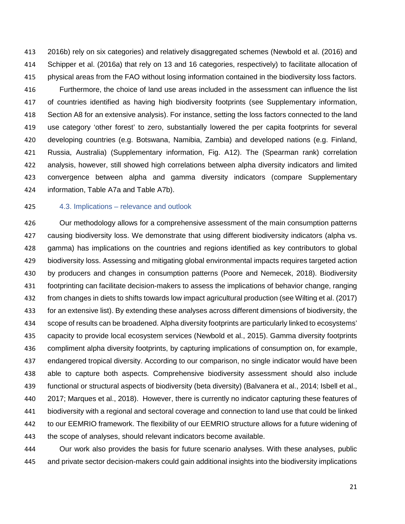2016b) rely on six categories) and relatively disaggregated schemes (Newbold et al. (2016) and Schipper et al. (2016a) that rely on 13 and 16 categories, respectively) to facilitate allocation of physical areas from the FAO without losing information contained in the biodiversity loss factors.

 Furthermore, the choice of land use areas included in the assessment can influence the list of countries identified as having high biodiversity footprints (see Supplementary information, Section A8 for an extensive analysis). For instance, setting the loss factors connected to the land use category 'other forest' to zero, substantially lowered the per capita footprints for several developing countries (e.g. Botswana, Namibia, Zambia) and developed nations (e.g. Finland, Russia, Australia) (Supplementary information, Fig. A12). The (Spearman rank) correlation analysis, however, still showed high correlations between alpha diversity indicators and limited convergence between alpha and gamma diversity indicators (compare Supplementary information, Table A7a and Table A7b).

#### 4.3. Implications – relevance and outlook

 Our methodology allows for a comprehensive assessment of the main consumption patterns causing biodiversity loss. We demonstrate that using different biodiversity indicators (alpha vs. gamma) has implications on the countries and regions identified as key contributors to global biodiversity loss. Assessing and mitigating global environmental impacts requires targeted action by producers and changes in consumption patterns (Poore and Nemecek, 2018). Biodiversity footprinting can facilitate decision-makers to assess the implications of behavior change, ranging from changes in diets to shifts towards low impact agricultural production (see Wilting et al. (2017) for an extensive list). By extending these analyses across different dimensions of biodiversity, the scope of results can be broadened. Alpha diversity footprints are particularly linked to ecosystems' capacity to provide local ecosystem services (Newbold et al., 2015). Gamma diversity footprints compliment alpha diversity footprints, by capturing implications of consumption on, for example, endangered tropical diversity. According to our comparison, no single indicator would have been able to capture both aspects. Comprehensive biodiversity assessment should also include functional or structural aspects of biodiversity (beta diversity) (Balvanera et al., 2014; Isbell et al., 2017; Marques et al., 2018). However, there is currently no indicator capturing these features of biodiversity with a regional and sectoral coverage and connection to land use that could be linked to our EEMRIO framework. The flexibility of our EEMRIO structure allows for a future widening of the scope of analyses, should relevant indicators become available.

 Our work also provides the basis for future scenario analyses. With these analyses, public and private sector decision-makers could gain additional insights into the biodiversity implications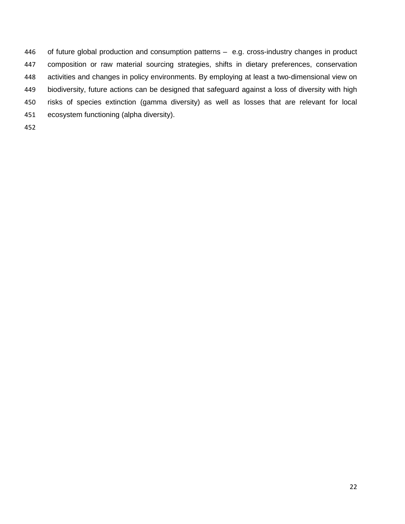of future global production and consumption patterns – e.g. cross-industry changes in product composition or raw material sourcing strategies, shifts in dietary preferences, conservation activities and changes in policy environments. By employing at least a two-dimensional view on biodiversity, future actions can be designed that safeguard against a loss of diversity with high risks of species extinction (gamma diversity) as well as losses that are relevant for local ecosystem functioning (alpha diversity).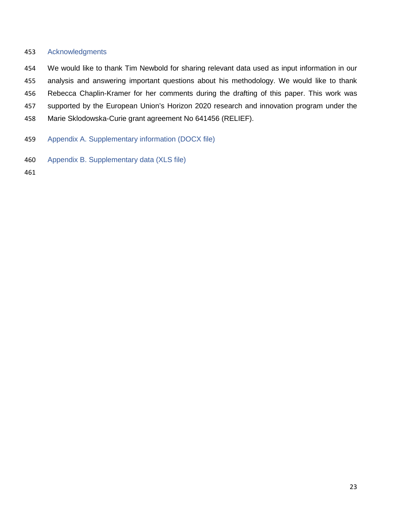# Acknowledgments

- We would like to thank Tim Newbold for sharing relevant data used as input information in our analysis and answering important questions about his methodology. We would like to thank Rebecca Chaplin-Kramer for her comments during the drafting of this paper. This work was supported by the European Union's Horizon 2020 research and innovation program under the Marie Sklodowska-Curie grant agreement No 641456 (RELIEF).
- Appendix A. Supplementary information (DOCX file)
- Appendix B. Supplementary data (XLS file)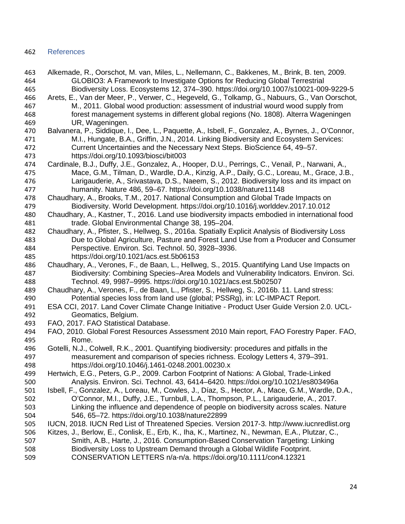# References

- Alkemade, R., Oorschot, M. van, Miles, L., Nellemann, C., Bakkenes, M., Brink, B. ten, 2009. GLOBIO3: A Framework to Investigate Options for Reducing Global Terrestrial Biodiversity Loss. Ecosystems 12, 374–390. https://doi.org/10.1007/s10021-009-9229-5
- Arets, E., Van der Meer, P., Verwer, C., Hegeveld, G., Tolkamp, G., Nabuurs, G., Van Oorschot, M., 2011. Global wood production: assessment of industrial wourd wood supply from forest management systems in different global regions (No. 1808). Alterra Wageningen UR, Wageningen.
- Balvanera, P., Siddique, I., Dee, L., Paquette, A., Isbell, F., Gonzalez, A., Byrnes, J., O'Connor, M.I., Hungate, B.A., Griffin, J.N., 2014. Linking Biodiversity and Ecosystem Services: Current Uncertainties and the Necessary Next Steps. BioScience 64, 49–57. https://doi.org/10.1093/biosci/bit003
- Cardinale, B.J., Duffy, J.E., Gonzalez, A., Hooper, D.U., Perrings, C., Venail, P., Narwani, A., Mace, G.M., Tilman, D., Wardle, D.A., Kinzig, A.P., Daily, G.C., Loreau, M., Grace, J.B., Larigauderie, A., Srivastava, D.S., Naeem, S., 2012. Biodiversity loss and its impact on humanity. Nature 486, 59–67. https://doi.org/10.1038/nature11148
- Chaudhary, A., Brooks, T.M., 2017. National Consumption and Global Trade Impacts on Biodiversity. World Development. https://doi.org/10.1016/j.worlddev.2017.10.012
- Chaudhary, A., Kastner, T., 2016. Land use biodiversity impacts embodied in international food trade. Global Environmental Change 38, 195–204.
- Chaudhary, A., Pfister, S., Hellweg, S., 2016a. Spatially Explicit Analysis of Biodiversity Loss Due to Global Agriculture, Pasture and Forest Land Use from a Producer and Consumer Perspective. Environ. Sci. Technol. 50, 3928–3936. https://doi.org/10.1021/acs.est.5b06153
- Chaudhary, A., Verones, F., de Baan, L., Hellweg, S., 2015. Quantifying Land Use Impacts on Biodiversity: Combining Species–Area Models and Vulnerability Indicators. Environ. Sci. Technol. 49, 9987–9995. https://doi.org/10.1021/acs.est.5b02507
- Chaudhary, A., Verones, F., de Baan, L., Pfister, S., Hellweg, S., 2016b. 11. Land stress: Potential species loss from land use (global; PSSRg), in: LC-IMPACT Report.
- ESA CCI, 2017. Land Cover Climate Change Initiative Product User Guide Version 2.0. UCL-Geomatics, Belgium.
- FAO, 2017. FAO Statistical Database.
- FAO, 2010. Global Forest Resources Assessment 2010 Main report, FAO Forestry Paper. FAO, Rome.
- Gotelli, N.J., Colwell, R.K., 2001. Quantifying biodiversity: procedures and pitfalls in the measurement and comparison of species richness. Ecology Letters 4, 379–391. https://doi.org/10.1046/j.1461-0248.2001.00230.x
- Hertwich, E.G., Peters, G.P., 2009. Carbon Footprint of Nations: A Global, Trade-Linked Analysis. Environ. Sci. Technol. 43, 6414–6420. https://doi.org/10.1021/es803496a
- Isbell, F., Gonzalez, A., Loreau, M., Cowles, J., Díaz, S., Hector, A., Mace, G.M., Wardle, D.A., O'Connor, M.I., Duffy, J.E., Turnbull, L.A., Thompson, P.L., Larigauderie, A., 2017. Linking the influence and dependence of people on biodiversity across scales. Nature 546, 65–72. https://doi.org/10.1038/nature22899
- IUCN, 2018. IUCN Red List of Threatened Species. Version 2017-3. http://www.iucnredlist.org
- Kitzes, J., Berlow, E., Conlisk, E., Erb, K., Iha, K., Martinez, N., Newman, E.A., Plutzar, C.,
- Smith, A.B., Harte, J., 2016. Consumption-Based Conservation Targeting: Linking Biodiversity Loss to Upstream Demand through a Global Wildlife Footprint.
- CONSERVATION LETTERS n/a-n/a. https://doi.org/10.1111/con4.12321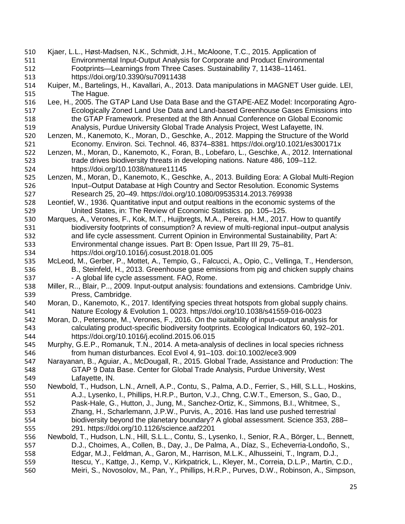- Kjaer, L.L., Høst-Madsen, N.K., Schmidt, J.H., McAloone, T.C., 2015. Application of Environmental Input-Output Analysis for Corporate and Product Environmental Footprints—Learnings from Three Cases. Sustainability 7, 11438–11461. https://doi.org/10.3390/su70911438 Kuiper, M., Bartelings, H., Kavallari, A., 2013. Data manipulations in MAGNET User guide. LEI, The Hague. Lee, H., 2005. The GTAP Land Use Data Base and the GTAPE-AEZ Model: Incorporating Agro- Ecologically Zoned Land Use Data and Land-based Greenhouse Gases Emissions into the GTAP Framework. Presented at the 8th Annual Conference on Global Economic Analysis, Purdue University Global Trade Analysis Project, West Lafayette, IN. Lenzen, M., Kanemoto, K., Moran, D., Geschke, A., 2012. Mapping the Structure of the World Economy. Environ. Sci. Technol. 46, 8374–8381. https://doi.org/10.1021/es300171x Lenzen, M., Moran, D., Kanemoto, K., Foran, B., Lobefaro, L., Geschke, A., 2012. International trade drives biodiversity threats in developing nations. Nature 486, 109–112. https://doi.org/10.1038/nature11145 Lenzen, M., Moran, D., Kanemoto, K., Geschke, A., 2013. Building Eora: A Global Multi-Region Input–Output Database at High Country and Sector Resolution. Economic Systems Research 25, 20–49. https://doi.org/10.1080/09535314.2013.769938 Leontief, W., 1936. Quantitative input and output realtions in the economic systems of the United States, in: The Review of Economic Statistics. pp. 105–125. Marques, A., Verones, F., Kok, M.T., Huijbregts, M.A., Pereira, H.M., 2017. How to quantify biodiversity footprints of consumption? A review of multi-regional input–output analysis and life cycle assessment. Current Opinion in Environmental Sustainability, Part A: Environmental change issues. Part B: Open Issue, Part III 29, 75–81.
	- https://doi.org/10.1016/j.cosust.2018.01.005
	- McLeod, M., Gerber, P., Mottet, A., Tempio, G., Falcucci, A., Opio, C., Vellinga, T., Henderson, B., Steinfeld, H., 2013. Greenhouse gase emissions from pig and chicken supply chains 537 - A global life cycle assessment. FAO, Rome.
	- Miller, R.., Blair, P.., 2009. Input-output analysis: foundations and extensions. Cambridge Univ. Press, Cambridge.
	- Moran, D., Kanemoto, K., 2017. Identifying species threat hotspots from global supply chains. Nature Ecology & Evolution 1, 0023. https://doi.org/10.1038/s41559-016-0023
	- Moran, D., Petersone, M., Verones, F., 2016. On the suitability of input–output analysis for calculating product-specific biodiversity footprints. Ecological Indicators 60, 192–201. https://doi.org/10.1016/j.ecolind.2015.06.015
	- Murphy, G.E.P., Romanuk, T.N., 2014. A meta-analysis of declines in local species richness from human disturbances. Ecol Evol 4, 91–103. doi:10.1002/ece3.909
	- Narayanan, B., Aguiar, A., McDougall, R., 2015. Global Trade, Assistance and Production: The GTAP 9 Data Base. Center for Global Trade Analysis, Purdue University, West Lafayette, IN.
	- Newbold, T., Hudson, L.N., Arnell, A.P., Contu, S., Palma, A.D., Ferrier, S., Hill, S.L.L., Hoskins, A.J., Lysenko, I., Phillips, H.R.P., Burton, V.J., Chng, C.W.T., Emerson, S., Gao, D., Pask-Hale, G., Hutton, J., Jung, M., Sanchez-Ortiz, K., Simmons, B.I., Whitmee, S., Zhang, H., Scharlemann, J.P.W., Purvis, A., 2016. Has land use pushed terrestrial biodiversity beyond the planetary boundary? A global assessment. Science 353, 288– 291. https://doi.org/10.1126/science.aaf2201
	- Newbold, T., Hudson, L.N., Hill, S.L.L., Contu, S., Lysenko, I., Senior, R.A., Börger, L., Bennett, D.J., Choimes, A., Collen, B., Day, J., De Palma, A., Díaz, S., Echeverria-Londoño, S., Edgar, M.J., Feldman, A., Garon, M., Harrison, M.L.K., Alhusseini, T., Ingram, D.J., 559 Itescu, Y., Kattge, J., Kemp, V., Kirkpatrick, L., Kleyer, M., Correia, D.L.P., Martin, C.D., Meiri, S., Novosolov, M., Pan, Y., Phillips, H.R.P., Purves, D.W., Robinson, A., Simpson,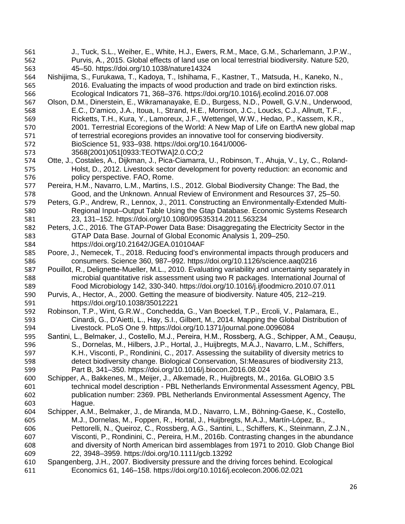J., Tuck, S.L., Weiher, E., White, H.J., Ewers, R.M., Mace, G.M., Scharlemann, J.P.W., Purvis, A., 2015. Global effects of land use on local terrestrial biodiversity. Nature 520, 45–50. https://doi.org/10.1038/nature14324 Nishijima, S., Furukawa, T., Kadoya, T., Ishihama, F., Kastner, T., Matsuda, H., Kaneko, N., 2016. Evaluating the impacts of wood production and trade on bird extinction risks. Ecological Indicators 71, 368–376. https://doi.org/10.1016/j.ecolind.2016.07.008 Olson, D.M., Dinerstein, E., Wikramanayake, E.D., Burgess, N.D., Powell, G.V.N., Underwood, E.C., D'amico, J.A., Itoua, I., Strand, H.E., Morrison, J.C., Loucks, C.J., Allnutt, T.F., Ricketts, T.H., Kura, Y., Lamoreux, J.F., Wettengel, W.W., Hedao, P., Kassem, K.R., 2001. Terrestrial Ecoregions of the World: A New Map of Life on EarthA new global map of terrestrial ecoregions provides an innovative tool for conserving biodiversity. BioScience 51, 933–938. https://doi.org/10.1641/0006- 3568(2001)051[0933:TEOTWA]2.0.CO;2 Otte, J., Costales, A., Dijkman, J., Pica-Ciamarra, U., Robinson, T., Ahuja, V., Ly, C., Roland- Holst, D., 2012. Livestock sector development for poverty reduction: an economic and policy perspective. FAO, Rome. Pereira, H.M., Navarro, L.M., Martins, I.S., 2012. Global Biodiversity Change: The Bad, the Good, and the Unknown. Annual Review of Environment and Resources 37, 25–50. Peters, G.P., Andrew, R., Lennox, J., 2011. Constructing an Environmentally-Extended Multi- Regional Input–Output Table Using the Gtap Database. Economic Systems Research 23, 131–152. https://doi.org/10.1080/09535314.2011.563234 Peters, J.C., 2016. The GTAP-Power Data Base: Disaggregating the Electricity Sector in the GTAP Data Base. Journal of Global Economic Analysis 1, 209–250. https://doi.org/10.21642/JGEA.010104AF Poore, J., Nemecek, T., 2018. Reducing food's environmental impacts through producers and consumers. Science 360, 987–992. https://doi.org/10.1126/science.aaq0216 Pouillot, R., Delignette-Mueller, M.L., 2010. Evaluating variability and uncertainty separately in microbial quantitative risk assessment using two R packages. International Journal of Food Microbiology 142, 330-340. https://doi.org/10.1016/j.ijfoodmicro.2010.07.011 Purvis, A., Hector, A., 2000. Getting the measure of biodiversity. Nature 405, 212–219. https://doi.org/10.1038/35012221 Robinson, T.P., Wint, G.R.W., Conchedda, G., Van Boeckel, T.P., Ercoli, V., Palamara, E., Cinardi, G., D'Aietti, L., Hay, S.I., Gilbert, M., 2014. Mapping the Global Distribution of Livestock. PLoS One 9. https://doi.org/10.1371/journal.pone.0096084 Santini, L., Belmaker, J., Costello, M.J., Pereira, H.M., Rossberg, A.G., Schipper, A.M., Ceaușu, S., Dornelas, M., Hilbers, J.P., Hortal, J., Huijbregts, M.A.J., Navarro, L.M., Schiffers, K.H., Visconti, P., Rondinini, C., 2017. Assessing the suitability of diversity metrics to detect biodiversity change. Biological Conservation, SI:Measures of biodiversity 213, Part B, 341–350. https://doi.org/10.1016/j.biocon.2016.08.024 Schipper, A., Bakkenes, M., Meijer, J., Alkemade, R., Huijbregts, M., 2016a. GLOBIO 3.5 technical model description - PBL Netherlands Environmental Assessment Agency, PBL publication number: 2369. PBL Netherlands Environmental Assessment Agency, The Hague. Schipper, A.M., Belmaker, J., de Miranda, M.D., Navarro, L.M., Böhning-Gaese, K., Costello, M.J., Dornelas, M., Foppen, R., Hortal, J., Huijbregts, M.A.J., Martín-López, B., Pettorelli, N., Queiroz, C., Rossberg, A.G., Santini, L., Schiffers, K., Steinmann, Z.J.N., Visconti, P., Rondinini, C., Pereira, H.M., 2016b. Contrasting changes in the abundance and diversity of North American bird assemblages from 1971 to 2010. Glob Change Biol 22, 3948–3959. https://doi.org/10.1111/gcb.13292 Spangenberg, J.H., 2007. Biodiversity pressure and the driving forces behind. Ecological Economics 61, 146–158. https://doi.org/10.1016/j.ecolecon.2006.02.021